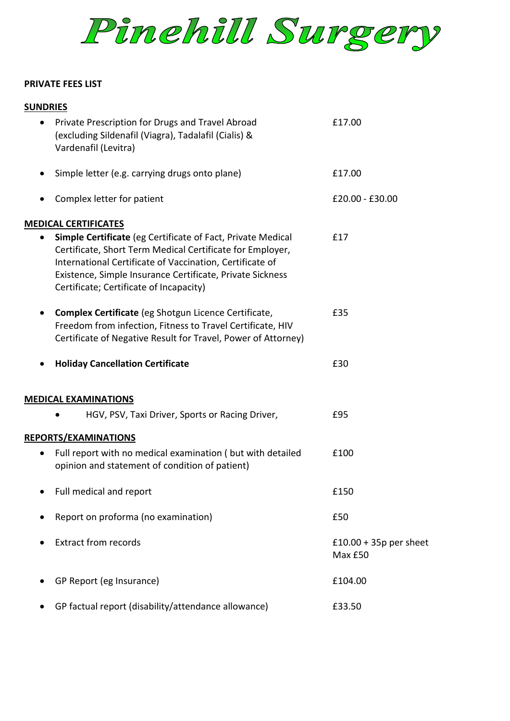

### **PRIVATE FEES LIST**

| <b>SUNDRIES</b>                                                                                                                                                                                                                                                                                     |                                     |
|-----------------------------------------------------------------------------------------------------------------------------------------------------------------------------------------------------------------------------------------------------------------------------------------------------|-------------------------------------|
| Private Prescription for Drugs and Travel Abroad<br>(excluding Sildenafil (Viagra), Tadalafil (Cialis) &<br>Vardenafil (Levitra)                                                                                                                                                                    | £17.00                              |
| Simple letter (e.g. carrying drugs onto plane)                                                                                                                                                                                                                                                      | £17.00                              |
| Complex letter for patient                                                                                                                                                                                                                                                                          | £20.00 - £30.00                     |
| <b>MEDICAL CERTIFICATES</b>                                                                                                                                                                                                                                                                         |                                     |
| <b>Simple Certificate</b> (eg Certificate of Fact, Private Medical<br>Certificate, Short Term Medical Certificate for Employer,<br>International Certificate of Vaccination, Certificate of<br>Existence, Simple Insurance Certificate, Private Sickness<br>Certificate; Certificate of Incapacity) | £17                                 |
| Complex Certificate (eg Shotgun Licence Certificate,<br>Freedom from infection, Fitness to Travel Certificate, HIV<br>Certificate of Negative Result for Travel, Power of Attorney)                                                                                                                 | £35                                 |
| <b>Holiday Cancellation Certificate</b>                                                                                                                                                                                                                                                             | £30                                 |
| <b>MEDICAL EXAMINATIONS</b>                                                                                                                                                                                                                                                                         |                                     |
| HGV, PSV, Taxi Driver, Sports or Racing Driver,                                                                                                                                                                                                                                                     | £95                                 |
| REPORTS/EXAMINATIONS                                                                                                                                                                                                                                                                                |                                     |
| Full report with no medical examination (but with detailed<br>opinion and statement of condition of patient)                                                                                                                                                                                        | £100                                |
| Full medical and report                                                                                                                                                                                                                                                                             | £150                                |
| Report on proforma (no examination)                                                                                                                                                                                                                                                                 | £50                                 |
| <b>Extract from records</b>                                                                                                                                                                                                                                                                         | $£10.00 + 35p$ per sheet<br>Max £50 |
| GP Report (eg Insurance)                                                                                                                                                                                                                                                                            | £104.00                             |
| GP factual report (disability/attendance allowance)                                                                                                                                                                                                                                                 | £33.50                              |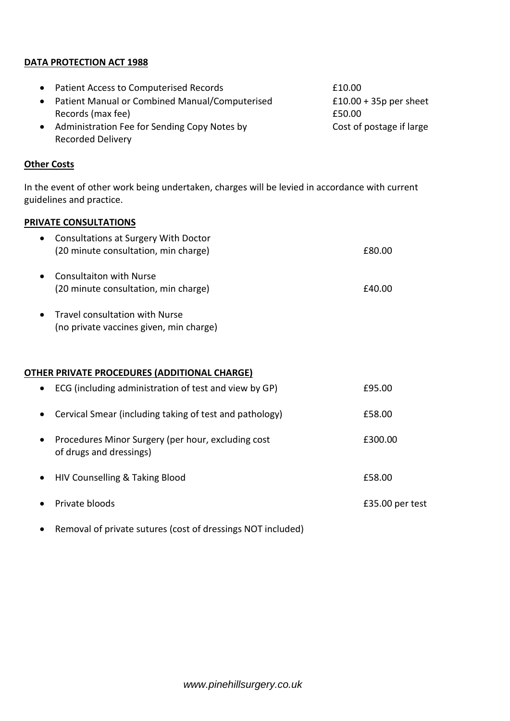## **DATA PROTECTION ACT 1988**

|           | • Patient Access to Computerised Records       | £10.00                   |
|-----------|------------------------------------------------|--------------------------|
| $\bullet$ | Patient Manual or Combined Manual/Computerised | $£10.00 + 35p$ per sheet |
|           | Records (max fee)                              | £50.00                   |
|           | Administration Fee for Sending Copy Notes by   | Cost of postage if large |
|           | <b>Recorded Delivery</b>                       |                          |

### **Other Costs**

In the event of other work being undertaken, charges will be levied in accordance with current guidelines and practice.

## **PRIVATE CONSULTATIONS**

| $\bullet$ | <b>Consultations at Surgery With Doctor</b><br>(20 minute consultation, min charge) | £80.00 |
|-----------|-------------------------------------------------------------------------------------|--------|
| $\bullet$ | Consultaiton with Nurse<br>(20 minute consultation, min charge)                     | £40.00 |
|           | • Travel consultation with Nurse                                                    |        |

(no private vaccines given, min charge)

### **OTHER PRIVATE PROCEDURES (ADDITIONAL CHARGE)**

| $\bullet$ | ECG (including administration of test and view by GP)                         | £95.00          |
|-----------|-------------------------------------------------------------------------------|-----------------|
| $\bullet$ | Cervical Smear (including taking of test and pathology)                       | £58.00          |
| $\bullet$ | Procedures Minor Surgery (per hour, excluding cost<br>of drugs and dressings) | £300.00         |
| $\bullet$ | HIV Counselling & Taking Blood                                                | £58.00          |
| $\bullet$ | Private bloods                                                                | £35.00 per test |
|           |                                                                               |                 |

Removal of private sutures (cost of dressings NOT included)